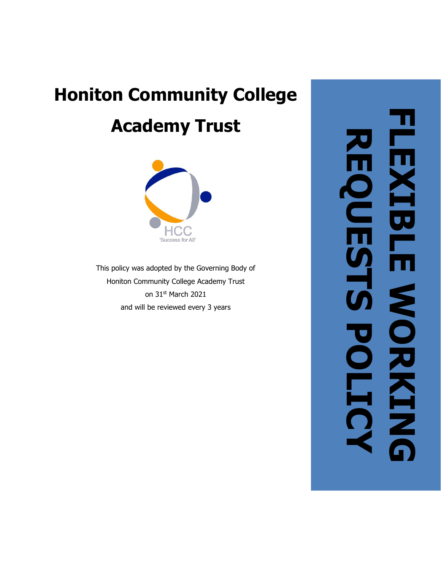# **Honiton Community College Academy Trust**



This policy was adopted by the Governing Body of Honiton Community College Academy Trust on 31 st March 2021 and will be reviewed every 3 years

**FLEXIBLE WORKIN LEXIBLE REQUESTS POLICYREQUESTS MORKING**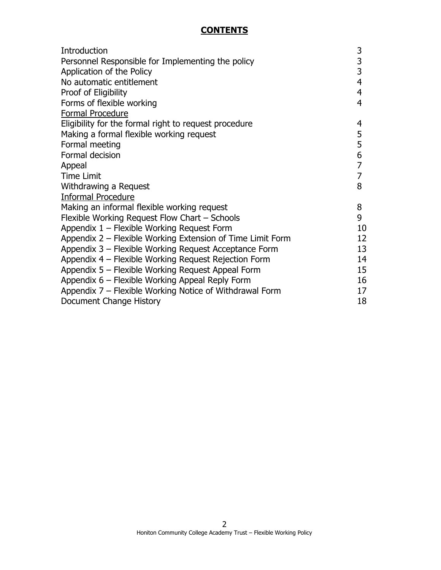#### **CONTENTS**

| Introduction                                               | 3              |
|------------------------------------------------------------|----------------|
| Personnel Responsible for Implementing the policy          | 3              |
| Application of the Policy                                  | 3              |
| No automatic entitlement                                   | 4              |
| Proof of Eligibility                                       | 4              |
| Forms of flexible working                                  | $\overline{4}$ |
| <b>Formal Procedure</b>                                    |                |
| Eligibility for the formal right to request procedure      | 4              |
| Making a formal flexible working request                   | 5              |
| Formal meeting                                             | 5              |
| Formal decision                                            | 6              |
| Appeal                                                     | $\overline{7}$ |
| <b>Time Limit</b>                                          | 7              |
| Withdrawing a Request                                      | 8              |
| <b>Informal Procedure</b>                                  |                |
| Making an informal flexible working request                | 8              |
| Flexible Working Request Flow Chart - Schools              | 9              |
| Appendix 1 - Flexible Working Request Form                 | 10             |
| Appendix 2 – Flexible Working Extension of Time Limit Form | 12             |
| Appendix 3 - Flexible Working Request Acceptance Form      | 13             |
| Appendix 4 - Flexible Working Request Rejection Form       | 14             |
| Appendix 5 - Flexible Working Request Appeal Form          | 15             |
| Appendix 6 - Flexible Working Appeal Reply Form            | 16             |
| Appendix 7 – Flexible Working Notice of Withdrawal Form    | 17             |
| Document Change History                                    | 18             |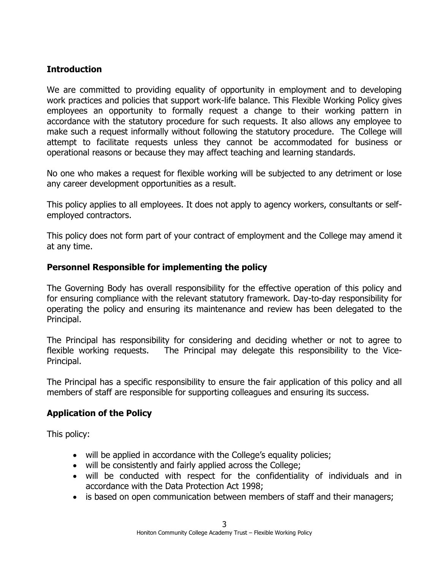#### **Introduction**

We are committed to providing equality of opportunity in employment and to developing work practices and policies that support work-life balance. This Flexible Working Policy gives employees an opportunity to formally request a change to their working pattern in accordance with the statutory procedure for such requests. It also allows any employee to make such a request informally without following the statutory procedure. The College will attempt to facilitate requests unless they cannot be accommodated for business or operational reasons or because they may affect teaching and learning standards.

No one who makes a request for flexible working will be subjected to any detriment or lose any career development opportunities as a result.

This policy applies to all employees. It does not apply to agency workers, consultants or selfemployed contractors.

This policy does not form part of your contract of employment and the College may amend it at any time.

#### **Personnel Responsible for implementing the policy**

The Governing Body has overall responsibility for the effective operation of this policy and for ensuring compliance with the relevant statutory framework. Day-to-day responsibility for operating the policy and ensuring its maintenance and review has been delegated to the Principal.

The Principal has responsibility for considering and deciding whether or not to agree to flexible working requests. The Principal may delegate this responsibility to the Vice-Principal.

The Principal has a specific responsibility to ensure the fair application of this policy and all members of staff are responsible for supporting colleagues and ensuring its success.

#### **Application of the Policy**

This policy:

- will be applied in accordance with the College's equality policies;
- will be consistently and fairly applied across the College;
- will be conducted with respect for the confidentiality of individuals and in accordance with the Data Protection Act 1998;
- is based on open communication between members of staff and their managers;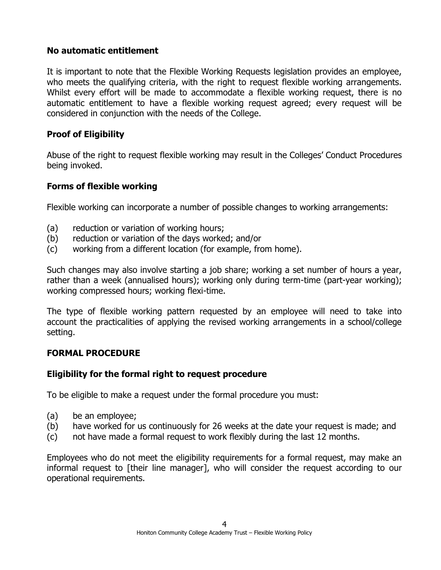#### **No automatic entitlement**

It is important to note that the Flexible Working Requests legislation provides an employee, who meets the qualifying criteria, with the right to request flexible working arrangements. Whilst every effort will be made to accommodate a flexible working request, there is no automatic entitlement to have a flexible working request agreed; every request will be considered in conjunction with the needs of the College.

## **Proof of Eligibility**

Abuse of the right to request flexible working may result in the Colleges' Conduct Procedures being invoked.

## **Forms of flexible working**

Flexible working can incorporate a number of possible changes to working arrangements:

- (a) reduction or variation of working hours;
- (b) reduction or variation of the days worked; and/or
- (c) working from a different location (for example, from home).

Such changes may also involve starting a job share; working a set number of hours a year, rather than a week (annualised hours); working only during term-time (part-year working); working compressed hours; working flexi-time.

The type of flexible working pattern requested by an employee will need to take into account the practicalities of applying the revised working arrangements in a school/college setting.

## **FORMAL PROCEDURE**

#### **Eligibility for the formal right to request procedure**

To be eligible to make a request under the formal procedure you must:

- (a) be an employee;
- (b) have worked for us continuously for 26 weeks at the date your request is made; and
- (c) not have made a formal request to work flexibly during the last 12 months.

Employees who do not meet the eligibility requirements for a formal request, may make an informal request to [their line manager], who will consider the request according to our operational requirements.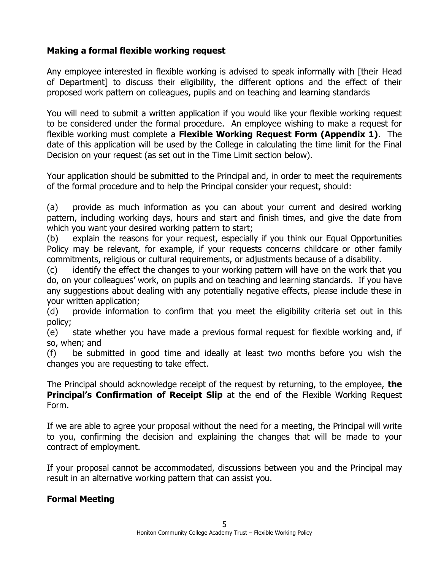## **Making a formal flexible working request**

Any employee interested in flexible working is advised to speak informally with [their Head of Department] to discuss their eligibility, the different options and the effect of their proposed work pattern on colleagues, pupils and on teaching and learning standards

You will need to submit a written application if you would like your flexible working request to be considered under the formal procedure. An employee wishing to make a request for flexible working must complete a **Flexible Working Request Form (Appendix 1)**. The date of this application will be used by the College in calculating the time limit for the Final Decision on your request (as set out in the Time Limit section below).

Your application should be submitted to the Principal and, in order to meet the requirements of the formal procedure and to help the Principal consider your request, should:

(a) provide as much information as you can about your current and desired working pattern, including working days, hours and start and finish times, and give the date from which you want your desired working pattern to start;

(b) explain the reasons for your request, especially if you think our Equal Opportunities Policy may be relevant, for example, if your requests concerns childcare or other family commitments, religious or cultural requirements, or adjustments because of a disability.

(c) identify the effect the changes to your working pattern will have on the work that you do, on your colleagues' work, on pupils and on teaching and learning standards. If you have any suggestions about dealing with any potentially negative effects, please include these in your written application;

(d) provide information to confirm that you meet the eligibility criteria set out in this policy;

(e) state whether you have made a previous formal request for flexible working and, if so, when; and

(f) be submitted in good time and ideally at least two months before you wish the changes you are requesting to take effect.

The Principal should acknowledge receipt of the request by returning, to the employee, **the Principal's Confirmation of Receipt Slip** at the end of the Flexible Working Request Form.

If we are able to agree your proposal without the need for a meeting, the Principal will write to you, confirming the decision and explaining the changes that will be made to your contract of employment.

If your proposal cannot be accommodated, discussions between you and the Principal may result in an alternative working pattern that can assist you.

#### **Formal Meeting**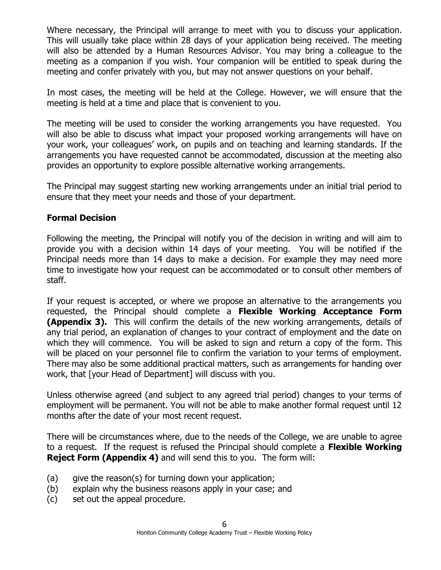Where necessary, the Principal will arrange to meet with you to discuss your application. This will usually take place within 28 days of your application being received. The meeting will also be attended by a Human Resources Advisor. You may bring a colleague to the meeting as a companion if you wish. Your companion will be entitled to speak during the meeting and confer privately with you, but may not answer questions on your behalf.

In most cases, the meeting will be held at the College. However, we will ensure that the meeting is held at a time and place that is convenient to you.

The meeting will be used to consider the working arrangements you have requested. You will also be able to discuss what impact your proposed working arrangements will have on your work, your colleagues' work, on pupils and on teaching and learning standards. If the arrangements you have requested cannot be accommodated, discussion at the meeting also provides an opportunity to explore possible alternative working arrangements.

The Principal may suggest starting new working arrangements under an initial trial period to ensure that they meet your needs and those of your department.

#### **Formal Decision**

Following the meeting, the Principal will notify you of the decision in writing and will aim to provide you with a decision within 14 days of your meeting. You will be notified if the Principal needs more than 14 days to make a decision. For example they may need more time to investigate how your request can be accommodated or to consult other members of staff.

If your request is accepted, or where we propose an alternative to the arrangements you requested, the Principal should complete a **Flexible Working Acceptance Form (Appendix 3).** This will confirm the details of the new working arrangements, details of any trial period, an explanation of changes to your contract of employment and the date on which they will commence. You will be asked to sign and return a copy of the form. This will be placed on your personnel file to confirm the variation to your terms of employment. There may also be some additional practical matters, such as arrangements for handing over work, that [your Head of Department] will discuss with you.

Unless otherwise agreed (and subject to any agreed trial period) changes to your terms of employment will be permanent. You will not be able to make another formal request until 12 months after the date of your most recent request.

There will be circumstances where, due to the needs of the College, we are unable to agree to a request. If the request is refused the Principal should complete a **Flexible Working Reject Form (Appendix 4)** and will send this to you. The form will:

- (a) give the reason(s) for turning down your application;
- (b) explain why the business reasons apply in your case; and
- (c) set out the appeal procedure.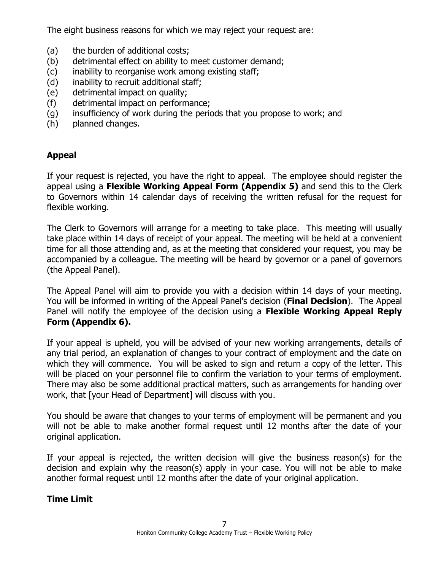The eight business reasons for which we may reject your request are:

- (a) the burden of additional costs;
- (b) detrimental effect on ability to meet customer demand;
- (c) inability to reorganise work among existing staff;
- (d) inability to recruit additional staff;
- (e) detrimental impact on quality;
- (f) detrimental impact on performance;
- (g) insufficiency of work during the periods that you propose to work; and
- (h) planned changes.

## **Appeal**

If your request is rejected, you have the right to appeal. The employee should register the appeal using a **Flexible Working Appeal Form (Appendix 5)** and send this to the Clerk to Governors within 14 calendar days of receiving the written refusal for the request for flexible working.

The Clerk to Governors will arrange for a meeting to take place. This meeting will usually take place within 14 days of receipt of your appeal. The meeting will be held at a convenient time for all those attending and, as at the meeting that considered your request, you may be accompanied by a colleague. The meeting will be heard by governor or a panel of governors (the Appeal Panel).

The Appeal Panel will aim to provide you with a decision within 14 days of your meeting. You will be informed in writing of the Appeal Panel's decision (**Final Decision**). The Appeal Panel will notify the employee of the decision using a **Flexible Working Appeal Reply Form (Appendix 6).**

If your appeal is upheld, you will be advised of your new working arrangements, details of any trial period, an explanation of changes to your contract of employment and the date on which they will commence. You will be asked to sign and return a copy of the letter. This will be placed on your personnel file to confirm the variation to your terms of employment. There may also be some additional practical matters, such as arrangements for handing over work, that [your Head of Department] will discuss with you.

You should be aware that changes to your terms of employment will be permanent and you will not be able to make another formal request until 12 months after the date of your original application.

If your appeal is rejected, the written decision will give the business reason(s) for the decision and explain why the reason(s) apply in your case. You will not be able to make another formal request until 12 months after the date of your original application.

#### **Time Limit**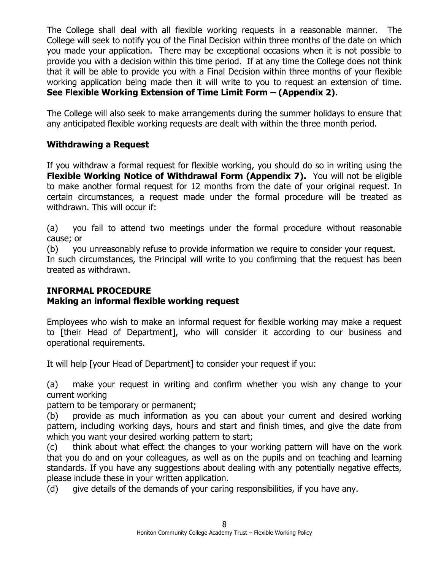The College shall deal with all flexible working requests in a reasonable manner. The College will seek to notify you of the Final Decision within three months of the date on which you made your application. There may be exceptional occasions when it is not possible to provide you with a decision within this time period. If at any time the College does not think that it will be able to provide you with a Final Decision within three months of your flexible working application being made then it will write to you to request an extension of time. **See Flexible Working Extension of Time Limit Form – (Appendix 2)**.

The College will also seek to make arrangements during the summer holidays to ensure that any anticipated flexible working requests are dealt with within the three month period.

## **Withdrawing a Request**

If you withdraw a formal request for flexible working, you should do so in writing using the **Flexible Working Notice of Withdrawal Form (Appendix 7).** You will not be eligible to make another formal request for 12 months from the date of your original request. In certain circumstances, a request made under the formal procedure will be treated as withdrawn. This will occur if:

(a) you fail to attend two meetings under the formal procedure without reasonable cause; or

(b) you unreasonably refuse to provide information we require to consider your request.

In such circumstances, the Principal will write to you confirming that the request has been treated as withdrawn.

## **INFORMAL PROCEDURE**

## **Making an informal flexible working request**

Employees who wish to make an informal request for flexible working may make a request to [their Head of Department], who will consider it according to our business and operational requirements.

It will help [your Head of Department] to consider your request if you:

(a) make your request in writing and confirm whether you wish any change to your current working

pattern to be temporary or permanent;

(b) provide as much information as you can about your current and desired working pattern, including working days, hours and start and finish times, and give the date from which you want your desired working pattern to start;

(c) think about what effect the changes to your working pattern will have on the work that you do and on your colleagues, as well as on the pupils and on teaching and learning standards. If you have any suggestions about dealing with any potentially negative effects, please include these in your written application.

(d) give details of the demands of your caring responsibilities, if you have any.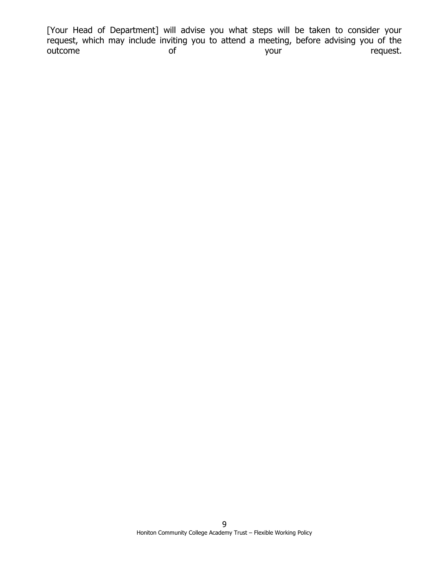[Your Head of Department] will advise you what steps will be taken to consider your request, which may include inviting you to attend a meeting, before advising you of the outcome of of the your your request.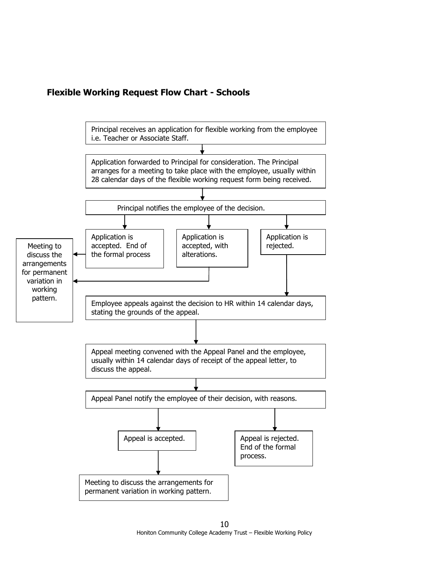

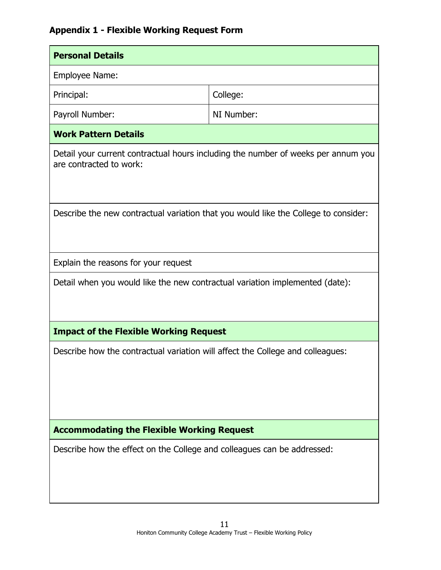# **Appendix 1 - Flexible Working Request Form**

| <b>Personal Details</b>                                                             |                                                                                   |  |  |
|-------------------------------------------------------------------------------------|-----------------------------------------------------------------------------------|--|--|
| Employee Name:                                                                      |                                                                                   |  |  |
| Principal:                                                                          | College:                                                                          |  |  |
| Payroll Number:                                                                     | NI Number:                                                                        |  |  |
| <b>Work Pattern Details</b>                                                         |                                                                                   |  |  |
| are contracted to work:                                                             | Detail your current contractual hours including the number of weeks per annum you |  |  |
| Describe the new contractual variation that you would like the College to consider: |                                                                                   |  |  |
| Explain the reasons for your request                                                |                                                                                   |  |  |
| Detail when you would like the new contractual variation implemented (date):        |                                                                                   |  |  |
| <b>Impact of the Flexible Working Request</b>                                       |                                                                                   |  |  |
| Describe how the contractual variation will affect the College and colleagues:      |                                                                                   |  |  |
| <b>Accommodating the Flexible Working Request</b>                                   |                                                                                   |  |  |
| Describe how the effect on the College and colleagues can be addressed:             |                                                                                   |  |  |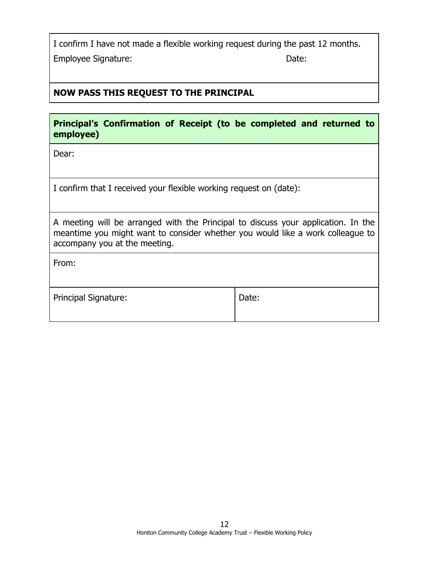I confirm I have not made a flexible working request during the past 12 months. Employee Signature:  $\blacksquare$ 

## **NOW PASS THIS REQUEST TO THE PRINCIPAL**

|           | Principal's Confirmation of Receipt (to be completed and returned to |  |  |  |  |
|-----------|----------------------------------------------------------------------|--|--|--|--|
| employee) |                                                                      |  |  |  |  |

Dear:

I confirm that I received your flexible working request on (date):

A meeting will be arranged with the Principal to discuss your application. In the meantime you might want to consider whether you would like a work colleague to accompany you at the meeting.

From:

| <b>Principal Signature:</b> | Date: |
|-----------------------------|-------|
|-----------------------------|-------|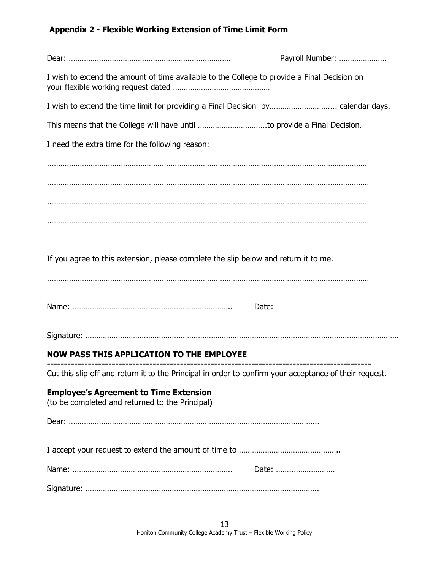## **Appendix 2 - Flexible Working Extension of Time Limit Form**

|                                                                                                        | Payroll Number: |
|--------------------------------------------------------------------------------------------------------|-----------------|
| I wish to extend the amount of time available to the College to provide a Final Decision on            |                 |
|                                                                                                        |                 |
|                                                                                                        |                 |
| I need the extra time for the following reason:                                                        |                 |
|                                                                                                        |                 |
|                                                                                                        |                 |
|                                                                                                        |                 |
|                                                                                                        |                 |
|                                                                                                        |                 |
| If you agree to this extension, please complete the slip below and return it to me.                    |                 |
|                                                                                                        |                 |
| Date:                                                                                                  |                 |
|                                                                                                        |                 |
| <b>NOW PASS THIS APPLICATION TO THE EMPLOYEE</b>                                                       |                 |
| Cut this slip off and return it to the Principal in order to confirm your acceptance of their request. |                 |
| <b>Employee's Agreement to Time Extension</b><br>(to be completed and returned to the Principal)       |                 |
|                                                                                                        |                 |
|                                                                                                        |                 |
|                                                                                                        |                 |
|                                                                                                        | Date:           |
|                                                                                                        |                 |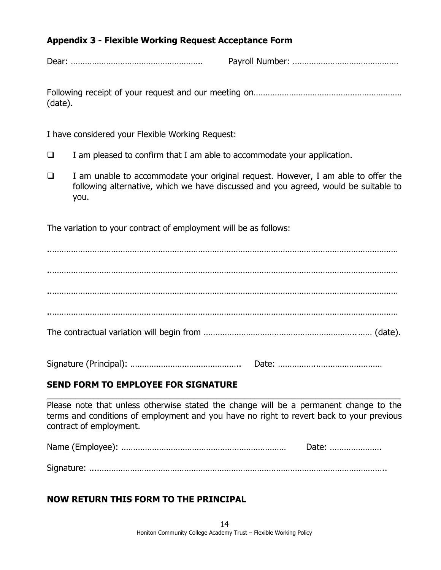#### **Appendix 3 - Flexible Working Request Acceptance Form**

Dear: ……………………………………………….. Payroll Number: ………………………………………

Following receipt of your request and our meeting on……………………………………………………… (date).

I have considered your Flexible Working Request:

- $\Box$  I am pleased to confirm that I am able to accommodate your application.
- ❑ I am unable to accommodate your original request. However, I am able to offer the following alternative, which we have discussed and you agreed, would be suitable to you.

The variation to your contract of employment will be as follows:

..………………………………………………………………………………………………………………………………… ..………………………………………………………………………………………………………………………………… ..………………………………………………………………………………………………………………………………… The contractual variation will begin from ………………………………………………………..…… (date).

Signature (Principal): ……………………………………….. Date: ……………..………………………

## **SEND FORM TO EMPLOYEE FOR SIGNATURE**

Please note that unless otherwise stated the change will be a permanent change to the terms and conditions of employment and you have no right to revert back to your previous contract of employment.

\_\_\_\_\_\_\_\_\_\_\_\_\_\_\_\_\_\_\_\_\_\_\_\_\_\_\_\_\_\_\_\_\_\_\_\_\_\_\_\_\_\_\_\_\_\_\_\_\_\_\_\_\_\_\_\_\_\_\_\_\_\_\_\_\_\_\_\_\_\_\_\_\_\_\_

| Date: |
|-------|
|       |

## **NOW RETURN THIS FORM TO THE PRINCIPAL**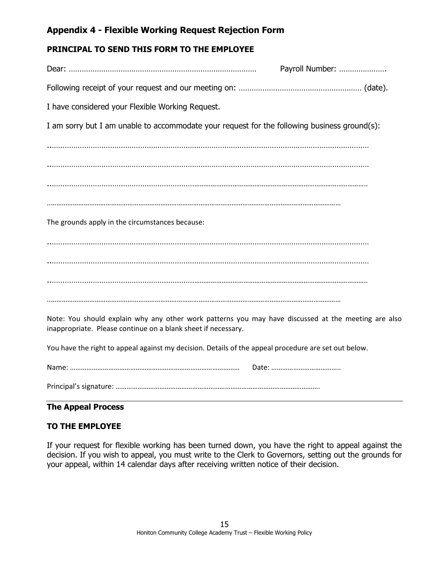## **Appendix 4 - Flexible Working Request Rejection Form**

#### **PRINCIPAL TO SEND THIS FORM TO THE EMPLOYEE**

|                                                                                                     | Payroll Number: |
|-----------------------------------------------------------------------------------------------------|-----------------|
|                                                                                                     |                 |
| I have considered your Flexible Working Request.                                                    |                 |
| I am sorry but I am unable to accommodate your request for the following business ground(s):        |                 |
|                                                                                                     |                 |
|                                                                                                     |                 |
|                                                                                                     |                 |
|                                                                                                     |                 |
| The grounds apply in the circumstances because:                                                     |                 |
|                                                                                                     |                 |
|                                                                                                     |                 |
|                                                                                                     |                 |
|                                                                                                     |                 |
| Note: You should explain why any other work patterns you may have discussed at the meeting are also |                 |
| inappropriate. Please continue on a blank sheet if necessary.                                       |                 |

You have the right to appeal against my decision. Details of the appeal procedure are set out below.

| Nai |  |
|-----|--|
|     |  |

Principal's signature: ………………………………………………………………………………………………….

#### **The Appeal Process**

#### **TO THE EMPLOYEE**

If your request for flexible working has been turned down, you have the right to appeal against the decision. If you wish to appeal, you must write to the Clerk to Governors, setting out the grounds for your appeal, within 14 calendar days after receiving written notice of their decision.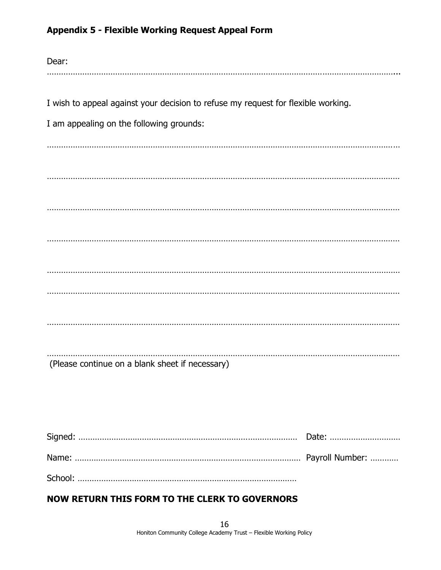## **Appendix 5 - Flexible Working Request Appeal Form**

| Dear:                                                                             |
|-----------------------------------------------------------------------------------|
|                                                                                   |
| I wish to appeal against your decision to refuse my request for flexible working. |
| I am appealing on the following grounds:                                          |
|                                                                                   |
|                                                                                   |
|                                                                                   |
|                                                                                   |
|                                                                                   |
|                                                                                   |
|                                                                                   |
|                                                                                   |
|                                                                                   |
|                                                                                   |
| (Please continue on a blank sheet if necessary)                                   |
|                                                                                   |
|                                                                                   |

## **NOW RETURN THIS FORM TO THE CLERK TO GOVERNORS**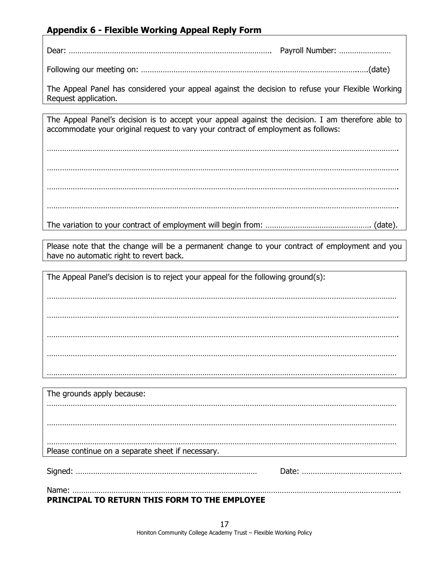## **Appendix 6 - Flexible Working Appeal Reply Form**

Dear: …………………………………………………………………………………. Payroll Number: ……………………

Following our meeting on: ………………………………………………………………………………………..….(date)

The Appeal Panel has considered your appeal against the decision to refuse your Flexible Working Request application.

The Appeal Panel's decision is to accept your appeal against the decision. I am therefore able to accommodate your original request to vary your contract of employment as follows:

………………………………………………………………………………………………………………………………………………. ………………………………………………………………………………………………………………………………………………. ………………………………………………………………………………………………………………………………………………. ……………………………………………………………………………………………………………………………………………….

The variation to your contract of employment will begin from: …………………………………………. (date).

Please note that the change will be a permanent change to your contract of employment and you have no automatic right to revert back.

The Appeal Panel's decision is to reject your appeal for the following ground(s):

……………………………………………………………………………………………………………………………………………… ………………………………………………………………………………………………………………………………………………. ………………………………………………………………………………………………………………………………………………

………………………………………………………………………………………………………………………………………………

The grounds apply because: ……………………………………………………………………………………………………………………………………………… ……………………………………………………………………………………………………………………………………………… ……………………………………………………………………………………………………………………………………………… Please continue on a separate sheet if necessary. Signed: ………………………………………………………………………… Date: ………………………………………. Name: ……………………………………………………………………………………………………………………………………..

**PRINCIPAL TO RETURN THIS FORM TO THE EMPLOYEE**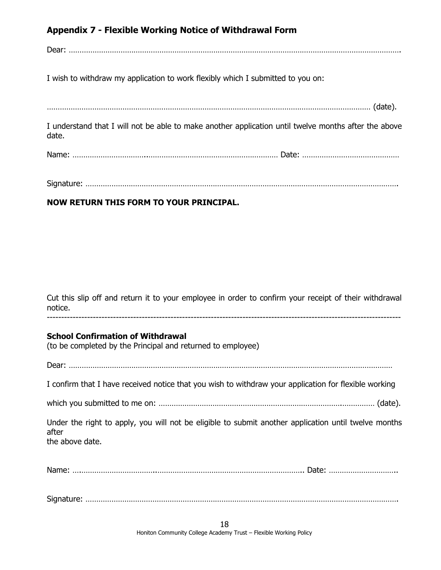## **Appendix 7 - Flexible Working Notice of Withdrawal Form**

Dear: ……………………………………………………………………………………………………………………………………….

I wish to withdraw my application to work flexibly which I submitted to you on:

…………………………………………………………………………………………………………………………………… (date).

I understand that I will not be able to make another application until twelve months after the above date.

Name: ……………………………..…………………………………………………… Date: ………………………………………

| $\sim$ |  |
|--------|--|
|        |  |

#### **NOW RETURN THIS FORM TO YOUR PRINCIPAL.**

Cut this slip off and return it to your employee in order to confirm your receipt of their withdrawal notice. ---------------------------------------------------------------------------------------------------------------------------

#### **School Confirmation of Withdrawal**

(to be completed by the Principal and returned to employee)

Dear: ……………………………………………………………………………………………………………………………………

I confirm that I have received notice that you wish to withdraw your application for flexible working

which you submitted to me on: ………………………………………………………………………….…………… (date).

Under the right to apply, you will not be eligible to submit another application until twelve months after the above date.

Name: ….……………………………..………………………………………………………….. Date: …………………………..

Signature: ……………………………………………………………………………………………………………………………….

18 Honiton Community College Academy Trust – Flexible Working Policy